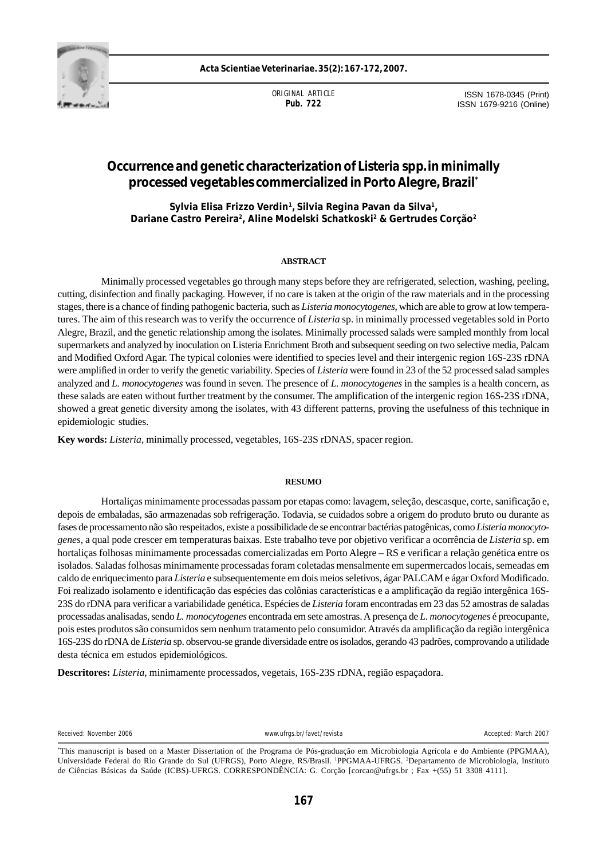

**Acta Scientiae Veterinariae. 35(2): 167-172, 2007.**

ORIGINAL ARTICLE **Pub. 722**

ISSN 1678-0345 (Print) ISSN 1679-9216 (Online)

# **Occurrence and genetic characterization of** *Listeria* **spp. in minimally processed vegetables commercialized in Porto Alegre, Brazil\***

**Sylvia Elisa Frizzo Verdin1, Silvia Regina Pavan da Silva1, Dariane Castro Pereira2 , Aline Modelski Schatkoski2 & Gertrudes Corção2**

## **ABSTRACT**

Minimally processed vegetables go through many steps before they are refrigerated, selection, washing, peeling, cutting, disinfection and finally packaging. However, if no care is taken at the origin of the raw materials and in the processing stages, there is a chance of finding pathogenic bacteria, such as *Listeria monocytogenes*, which are able to grow at low temperatures. The aim of this research was to verify the occurrence of *Listeria* sp. in minimally processed vegetables sold in Porto Alegre, Brazil, and the genetic relationship among the isolates. Minimally processed salads were sampled monthly from local supermarkets and analyzed by inoculation on Listeria Enrichment Broth and subsequent seeding on two selective media, Palcam and Modified Oxford Agar. The typical colonies were identified to species level and their intergenic region 16S-23S rDNA were amplified in order to verify the genetic variability. Species of *Listeria* were found in 23 of the 52 processed salad samples analyzed and *L. monocytogenes* was found in seven. The presence of *L. monocytogenes* in the samples is a health concern, as these salads are eaten without further treatment by the consumer. The amplification of the intergenic region 16S-23S rDNA, showed a great genetic diversity among the isolates, with 43 different patterns, proving the usefulness of this technique in epidemiologic studies.

**Key words:** *Listeria,* minimally processed, vegetables, 16S-23S rDNAS, spacer region.

#### **RESUMO**

Hortaliças minimamente processadas passam por etapas como: lavagem, seleção, descasque, corte, sanificação e, depois de embaladas, são armazenadas sob refrigeração. Todavia, se cuidados sobre a origem do produto bruto ou durante as fases de processamento não são respeitados, existe a possibilidade de se encontrar bactérias patogênicas, como *Listeria monocytogenes*, a qual pode crescer em temperaturas baixas. Este trabalho teve por objetivo verificar a ocorrência de *Listeria* sp. em hortaliças folhosas minimamente processadas comercializadas em Porto Alegre – RS e verificar a relação genética entre os isolados. Saladas folhosas minimamente processadas foram coletadas mensalmente em supermercados locais, semeadas em caldo de enriquecimento para *Listeria* e subsequentemente em dois meios seletivos, ágar PALCAM e ágar Oxford Modificado. Foi realizado isolamento e identificação das espécies das colônias características e a amplificação da região intergênica 16S-23S do rDNA para verificar a variabilidade genética. Espécies de *Listeria* foram encontradas em 23 das 52 amostras de saladas processadas analisadas, sendo *L. monocytogenes* encontrada em sete amostras. A presença de *L. monocytogenes* é preocupante, pois estes produtos são consumidos sem nenhum tratamento pelo consumidor. Através da amplificação da região intergênica 16S-23S do rDNA de *Listeria* sp. observou-se grande diversidade entre os isolados, gerando 43 padrões, comprovando a utilidade desta técnica em estudos epidemiológicos.

**Descritores:** *Listeria*, minimamente processados, vegetais, 16S-23S rDNA, região espaçadora.

Received: November 2006 and the center of the center of the www.ufras.br/favet/revista Accepted: March 2007 Accepted: March 2007

<sup>\*</sup> This manuscript is based on a Master Dissertation of the Programa de Pós-graduação em Microbiologia Agrícola e do Ambiente (PPGMAA), Universidade Federal do Rio Grande do Sul (UFRGS), Porto Alegre, RS/Brasil. 1 PPGMAA-UFRGS. 2 Departamento de Microbiologia, Instituto de Ciências Básicas da Saúde (ICBS)-UFRGS. CORRESPONDÊNCIA: G. Corção [corcao@ufrgs.br ; Fax +(55) 51 3308 4111].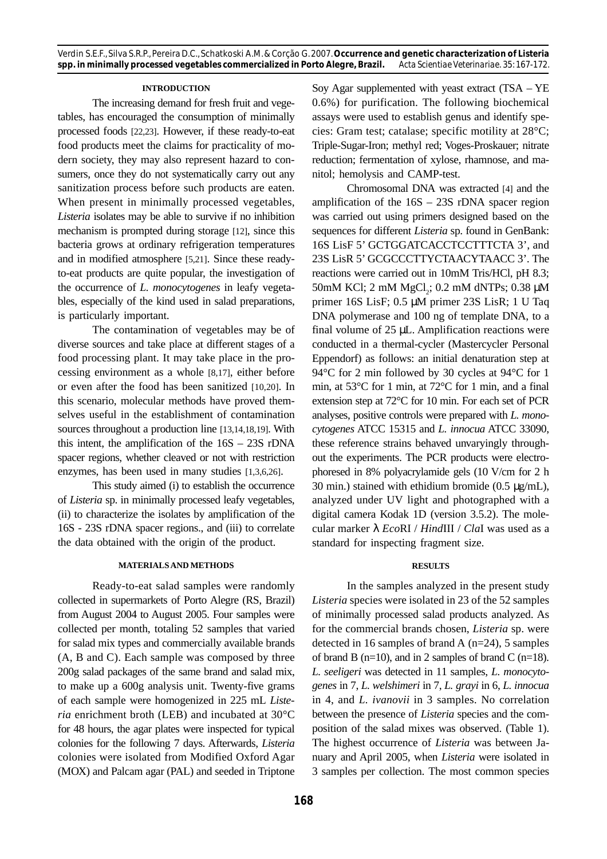#### **INTRODUCTION**

The increasing demand for fresh fruit and vegetables, has encouraged the consumption of minimally processed foods [22,23]. However, if these ready-to-eat food products meet the claims for practicality of modern society, they may also represent hazard to consumers, once they do not systematically carry out any sanitization process before such products are eaten. When present in minimally processed vegetables, *Listeria* isolates may be able to survive if no inhibition mechanism is prompted during storage [12], since this bacteria grows at ordinary refrigeration temperatures and in modified atmosphere [5,21]. Since these readyto-eat products are quite popular, the investigation of the occurrence of *L. monocytogenes* in leafy vegetables, especially of the kind used in salad preparations, is particularly important.

The contamination of vegetables may be of diverse sources and take place at different stages of a food processing plant. It may take place in the processing environment as a whole [8,17], either before or even after the food has been sanitized [10,20]. In this scenario, molecular methods have proved themselves useful in the establishment of contamination sources throughout a production line [13,14,18,19]. With this intent, the amplification of the 16S – 23S rDNA spacer regions, whether cleaved or not with restriction enzymes, has been used in many studies [1,3,6,26].

This study aimed (i) to establish the occurrence of *Listeria* sp. in minimally processed leafy vegetables, (ii) to characterize the isolates by amplification of the 16S - 23S rDNA spacer regions., and (iii) to correlate the data obtained with the origin of the product.

## **MATERIALS AND METHODS**

Ready-to-eat salad samples were randomly collected in supermarkets of Porto Alegre (RS, Brazil) from August 2004 to August 2005. Four samples were collected per month, totaling 52 samples that varied for salad mix types and commercially available brands (A, B and C). Each sample was composed by three 200g salad packages of the same brand and salad mix, to make up a 600g analysis unit. Twenty-five grams of each sample were homogenized in 225 mL *Listeria* enrichment broth (LEB) and incubated at 30°C for 48 hours, the agar plates were inspected for typical colonies for the following 7 days. Afterwards, *Listeria* colonies were isolated from Modified Oxford Agar (MOX) and Palcam agar (PAL) and seeded in Triptone

**168**

Soy Agar supplemented with yeast extract (TSA – YE 0.6%) for purification. The following biochemical assays were used to establish genus and identify species: Gram test; catalase; specific motility at 28°C; Triple-Sugar-Iron; methyl red; Voges-Proskauer; nitrate reduction; fermentation of xylose, rhamnose, and manitol; hemolysis and CAMP-test.

Chromosomal DNA was extracted [4] and the amplification of the 16S – 23S rDNA spacer region was carried out using primers designed based on the sequences for different *Listeria* sp. found in GenBank: 16S LisF 5' GCTGGATCACCTCCTTTCTA 3', and 23S LisR 5' GCGCCCTTYCTAACYTAACC 3'. The reactions were carried out in 10mM Tris/HCl, pH 8.3; 50mM KCl; 2 mM MgCl<sub>2</sub>; 0.2 mM dNTPs; 0.38 μM primer 16S LisF; 0.5 µM primer 23S LisR; 1 U Taq DNA polymerase and 100 ng of template DNA, to a final volume of 25 µL. Amplification reactions were conducted in a thermal-cycler (Mastercycler Personal Eppendorf) as follows: an initial denaturation step at 94°C for 2 min followed by 30 cycles at 94°C for 1 min, at 53°C for 1 min, at 72°C for 1 min, and a final extension step at 72°C for 10 min. For each set of PCR analyses, positive controls were prepared with *L. monocytogenes* ATCC 15315 and *L. innocua* ATCC 33090, these reference strains behaved unvaryingly throughout the experiments. The PCR products were electrophoresed in 8% polyacrylamide gels (10 V/cm for 2 h 30 min.) stained with ethidium bromide (0.5 µg/mL), analyzed under UV light and photographed with a digital camera Kodak 1D (version 3.5.2). The molecular marker λ *Eco*RI / *Hind*III / *Cla*I was used as a standard for inspecting fragment size.

## **RESULTS**

In the samples analyzed in the present study *Listeria* species were isolated in 23 of the 52 samples of minimally processed salad products analyzed. As for the commercial brands chosen, *Listeria* sp. were detected in 16 samples of brand A (n=24), 5 samples of brand B ( $n=10$ ), and in 2 samples of brand C ( $n=18$ ). *L. seeligeri* was detected in 11 samples, *L. monocytogenes* in 7, *L. welshimeri* in 7, *L. grayi* in 6, *L. innocua* in 4, and *L. ivanovii* in 3 samples. No correlation between the presence of *Listeria* species and the composition of the salad mixes was observed. (Table 1). The highest occurrence of *Listeria* was between January and April 2005, when *Listeria* were isolated in 3 samples per collection. The most common species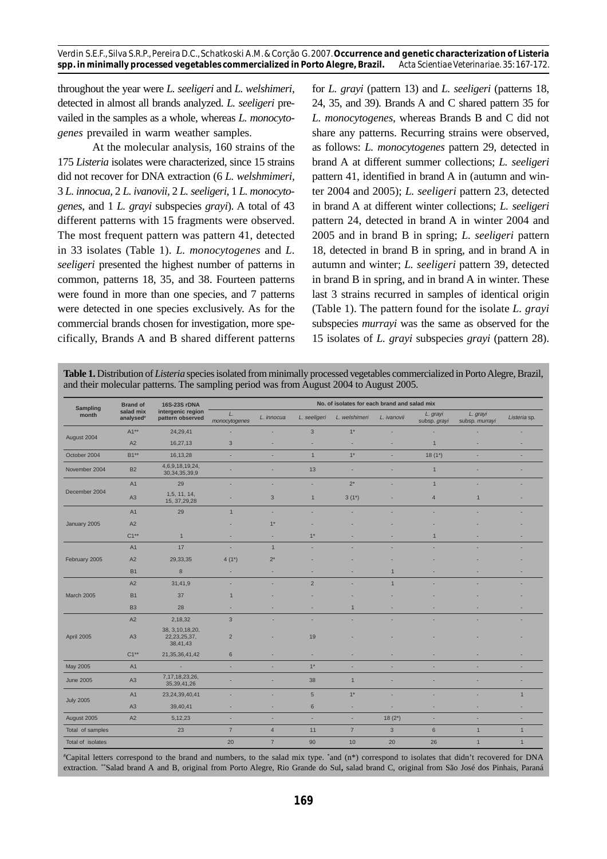throughout the year were *L. seeligeri* and *L. welshimeri*, detected in almost all brands analyzed. *L. seeligeri* prevailed in the samples as a whole, whereas *L. monocytogenes* prevailed in warm weather samples.

At the molecular analysis, 160 strains of the 175 *Listeria* isolates were characterized, since 15 strains did not recover for DNA extraction (6 *L. welshmimeri,* 3 *L. innocua,* 2 *L. ivanovii,* 2 *L. seeligeri,* 1 *L. monocytogenes*, and 1 *L. grayi* subspecies *grayi*). A total of 43 different patterns with 15 fragments were observed. The most frequent pattern was pattern 41, detected in 33 isolates (Table 1). *L. monocytogenes* and *L. seeligeri* presented the highest number of patterns in common, patterns 18, 35, and 38. Fourteen patterns were found in more than one species, and 7 patterns were detected in one species exclusively. As for the commercial brands chosen for investigation, more specifically, Brands A and B shared different patterns for *L. grayi* (pattern 13) and *L. seeligeri* (patterns 18, 24, 35, and 39). Brands A and C shared pattern 35 for *L. monocytogenes*, whereas Brands B and C did not share any patterns. Recurring strains were observed, as follows: *L. monocytogenes* pattern 29, detected in brand A at different summer collections; *L. seeligeri* pattern 41, identified in brand A in (autumn and winter 2004 and 2005); *L. seeligeri* pattern 23, detected in brand A at different winter collections; *L. seeligeri* pattern 24, detected in brand A in winter 2004 and 2005 and in brand B in spring; *L. seeligeri* pattern 18, detected in brand B in spring, and in brand A in autumn and winter; *L. seeligeri* pattern 39, detected in brand B in spring, and in brand A in winter. These last 3 strains recurred in samples of identical origin (Table 1). The pattern found for the isolate *L. grayi* subspecies *murrayi* was the same as observed for the 15 isolates of *L. grayi* subspecies *grayi* (pattern 28).

**Table 1.** Distribution of *Listeria* species isolated from minimally processed vegetables commercialized in Porto Alegre, Brazil, and their molecular patterns. The sampling period was from August 2004 to August 2005.

| Sampling<br>month | <b>Brand of</b><br>salad mix<br>analysed <sup>®</sup> | 16S-23S rDNA<br>intergenic region<br>pattern observed | No. of isolates for each brand and salad mix |                |                |                |                |                          |                            |              |
|-------------------|-------------------------------------------------------|-------------------------------------------------------|----------------------------------------------|----------------|----------------|----------------|----------------|--------------------------|----------------------------|--------------|
|                   |                                                       |                                                       | L.<br>monocytogenes                          | L. innocua     | L. seeligeri   | L. welshimeri  | L. ivanovii    | L. grayi<br>subsp. grayi | L. grayi<br>subsp. murrayi | Listeria sp. |
| August 2004       | $A1**$                                                | 24,29,41                                              | ٠                                            |                | $\mathbf{3}$   | $1*$           |                | ٠                        |                            |              |
|                   | A2                                                    | 16,27,13                                              | 3                                            |                |                |                |                | $\overline{1}$           |                            |              |
| October 2004      | B1**                                                  | 16,13,28                                              | ×.                                           | ۰              | $\mathbf{1}$   | $1*$           | ×.             | $18(1*)$                 | ×,                         |              |
| November 2004     | <b>B2</b>                                             | 4,6,9,18,19,24,<br>30, 34, 35, 39, 9                  |                                              |                | 13             |                |                | $\overline{1}$           |                            |              |
| December 2004     | A1                                                    | 29                                                    |                                              | ٠              | ×,             | $2^{\star}$    | ٠              | $\mathbf{1}$             |                            |              |
|                   | A3                                                    | 1,5, 11, 14,<br>15, 37, 29, 28                        |                                              | $\mathbf{3}$   | $\mathbf{1}$   | $3(1^*)$       |                | $\overline{4}$           | $\overline{1}$             |              |
| January 2005      | A <sub>1</sub>                                        | 29                                                    | $\mathbf{1}$                                 | ٠              | ۰              |                |                |                          |                            |              |
|                   | A2                                                    |                                                       |                                              | $1*$           |                |                |                |                          |                            |              |
|                   | $C1**$                                                | $\mathbf{1}$                                          | ٠                                            | ×              | $1*$           |                |                | $\overline{1}$           |                            |              |
| February 2005     | A <sub>1</sub>                                        | 17                                                    | ×                                            | $\mathbf{1}$   |                |                |                |                          |                            |              |
|                   | A2                                                    | 29,33,35                                              | $4(1*)$                                      | $2^*$          |                |                |                |                          |                            |              |
|                   | <b>B1</b>                                             | $8\phantom{1}$                                        | ×                                            |                |                |                | $\overline{1}$ |                          |                            |              |
| <b>March 2005</b> | A2                                                    | 31,41,9                                               |                                              |                | $\overline{2}$ |                | $\overline{1}$ |                          |                            |              |
|                   | <b>B1</b>                                             | 37                                                    | $\mathbf{1}$                                 |                |                |                |                |                          |                            |              |
|                   | <b>B3</b>                                             | 28                                                    |                                              |                |                | $\overline{1}$ |                |                          |                            |              |
| April 2005        | A2                                                    | 2,18,32                                               | $\mathbf{3}$                                 |                |                |                |                |                          |                            |              |
|                   | A3                                                    | 38, 3, 10, 18, 20,<br>22, 23, 25, 37,<br>38,41,43     | $\overline{2}$                               |                | 19             |                |                |                          |                            |              |
|                   | $C1**$                                                | 21, 35, 36, 41, 42                                    | $6\phantom{1}$                               |                |                |                |                |                          |                            |              |
| May 2005          | A1                                                    | ٠                                                     | ×,                                           |                | $1*$           |                |                |                          |                            |              |
| <b>June 2005</b>  | A3                                                    | 7, 17, 18, 23, 26,<br>35, 39, 41, 26                  |                                              |                | 38             | $\mathbf{1}$   |                |                          |                            |              |
| <b>July 2005</b>  | A1                                                    | 23,24,39,40,41                                        |                                              |                | $\sqrt{5}$     | $1*$           |                |                          |                            | $\mathbf{1}$ |
|                   | A3                                                    | 39,40,41                                              | ×,                                           | ٠              | 6              | ٠              | ×,             |                          |                            |              |
| August 2005       | A2                                                    | 5, 12, 23                                             | ×                                            | ۰              | ×,             | ٠              | $18(2^*)$      |                          | ×,                         |              |
| Total of samples  |                                                       | 23                                                    | $\overline{7}$                               | $\overline{4}$ | 11             | $\overline{7}$ | $\mathbf{3}$   | $\,6$                    | $\mathbf{1}$               | $\mathbf{1}$ |
| Total of isolates |                                                       |                                                       | 20                                           | $\overline{7}$ | 90             | 10             | 20             | 26                       | $\mathbf{1}$               | $\mathbf{1}$ |

# Capital letters correspond to the brand and numbers, to the salad mix type. \* and (n\*) correspond to isolates that didn't recovered for DNA extraction. \*\*Salad brand A and B, original from Porto Alegre, Rio Grande do Sul**,** salad brand C, original from São José dos Pinhais, Paraná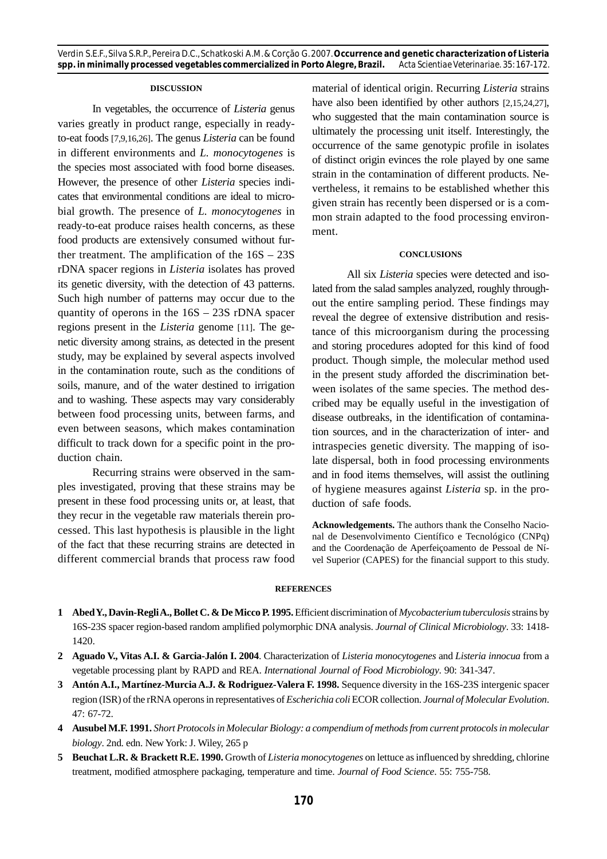# **DISCUSSION**

In vegetables, the occurrence of *Listeria* genus varies greatly in product range, especially in readyto-eat foods [7,9,16,26]. The genus *Listeria* can be found in different environments and *L. monocytogenes* is the species most associated with food borne diseases. However, the presence of other *Listeria* species indicates that environmental conditions are ideal to microbial growth. The presence of *L. monocytogenes* in ready-to-eat produce raises health concerns, as these food products are extensively consumed without further treatment. The amplification of the 16S – 23S rDNA spacer regions in *Listeria* isolates has proved its genetic diversity, with the detection of 43 patterns. Such high number of patterns may occur due to the quantity of operons in the 16S – 23S rDNA spacer regions present in the *Listeria* genome [11]. The genetic diversity among strains, as detected in the present study, may be explained by several aspects involved in the contamination route, such as the conditions of soils, manure, and of the water destined to irrigation and to washing. These aspects may vary considerably between food processing units, between farms, and even between seasons, which makes contamination difficult to track down for a specific point in the production chain.

Recurring strains were observed in the samples investigated, proving that these strains may be present in these food processing units or, at least, that they recur in the vegetable raw materials therein processed. This last hypothesis is plausible in the light of the fact that these recurring strains are detected in different commercial brands that process raw food material of identical origin. Recurring *Listeria* strains have also been identified by other authors [2,15,24,27], who suggested that the main contamination source is ultimately the processing unit itself. Interestingly, the occurrence of the same genotypic profile in isolates of distinct origin evinces the role played by one same strain in the contamination of different products. Nevertheless, it remains to be established whether this given strain has recently been dispersed or is a common strain adapted to the food processing environment.

### **CONCLUSIONS**

All six *Listeria* species were detected and isolated from the salad samples analyzed, roughly throughout the entire sampling period. These findings may reveal the degree of extensive distribution and resistance of this microorganism during the processing and storing procedures adopted for this kind of food product. Though simple, the molecular method used in the present study afforded the discrimination between isolates of the same species. The method described may be equally useful in the investigation of disease outbreaks, in the identification of contamination sources, and in the characterization of inter- and intraspecies genetic diversity. The mapping of isolate dispersal, both in food processing environments and in food items themselves, will assist the outlining of hygiene measures against *Listeria* sp. in the production of safe foods.

**Acknowledgements.** The authors thank the Conselho Nacional de Desenvolvimento Científico e Tecnológico (CNPq) and the Coordenação de Aperfeiçoamento de Pessoal de Nível Superior (CAPES) for the financial support to this study.

### **REFERENCES**

- **1 Abed Y., Davin-Regli A., Bollet C. & De Micco P. 1995.** Efficient discrimination of *Mycobacterium tuberculosis* strains by 16S-23S spacer region-based random amplified polymorphic DNA analysis. *Journal of Clinical Microbiology*. 33: 1418- 1420.
- **2 Aguado V., Vitas A.I. & Garcia-Jalón I. 2004**. Characterization of *Listeria monocytogenes* and *Listeria innocua* from a vegetable processing plant by RAPD and REA. *International Journal of Food Microbiology*. 90: 341-347.
- **3 Antón A.I., Martínez-Murcia A.J. & Rodriguez-Valera F. 1998.** Sequence diversity in the 16S-23S intergenic spacer region (ISR) of the rRNA operons in representatives of *Escherichia coli* ECOR collection. *Journal of Molecular Evolution*. 47: 67-72.
- **4 Ausubel M.F. 1991.** *Short Protocols in Molecular Biology: a compendium of methods from current protocols in molecular biology*. 2nd. edn. New York: J. Wiley, 265 p
- **5 Beuchat L.R. & Brackett R.E. 1990.** Growth of *Listeria monocytogenes* on lettuce as influenced by shredding, chlorine treatment, modified atmosphere packaging, temperature and time. *Journal of Food Science*. 55: 755-758.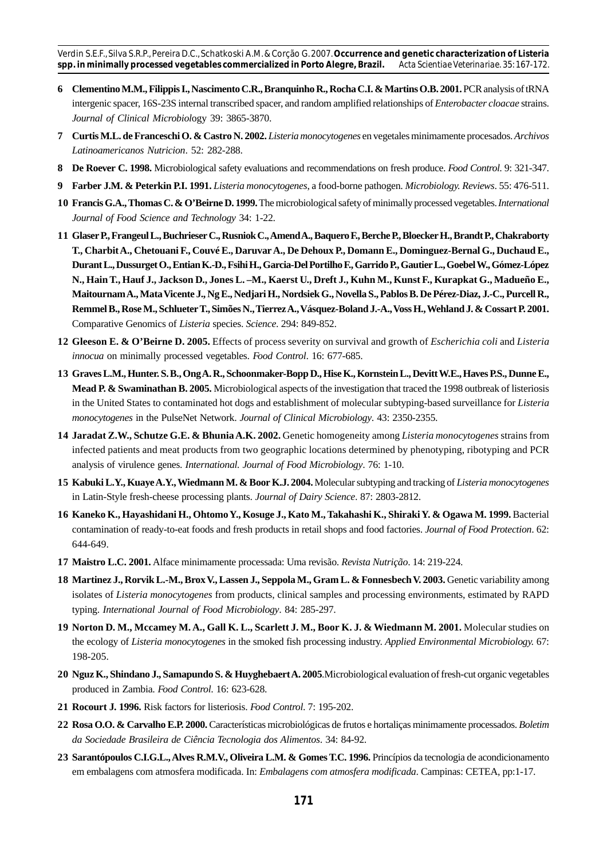- **6 Clementino M.M., Filippis I., Nascimento C.R., Branquinho R., Rocha C.I. & Martins O.B. 2001.** PCR analysis of tRNA intergenic spacer, 16S-23S internal transcribed spacer, and random amplified relationships of *Enterobacter cloacae* strains. *Journal of Clinical Microbiol*ogy 39: 3865-3870.
- **7 Curtis M.L. de Franceschi O. & Castro N. 2002.** *Listeria monocytogenes* en vegetales minimamente procesados. *Archivos Latinoamericanos Nutricion*. 52: 282-288.
- **8 De Roever C. 1998.** Microbiological safety evaluations and recommendations on fresh produce. *Food Control*. 9: 321-347.
- **9 Farber J.M. & Peterkin P.I. 1991.** *Listeria monocytogenes*, a food-borne pathogen. *Microbiology. Reviews*. 55: 476-511.
- **10 Francis G.A., Thomas C. & O'Beirne D. 1999.** The microbiological safety of minimally processed vegetables. *International Journal of Food Science and Technology* 34: 1-22.
- **11 Glaser P., Frangeul L., Buchrieser C., Rusniok C., Amend A., Baquero F., Berche P., Bloecker H., Brandt P., Chakraborty T., Charbit A., Chetouani F., Couvé E., Daruvar A., De Dehoux P., Domann E., Dominguez-Bernal G., Duchaud E., Durant L., Dussurget O., Entian K.-D., Fsihi H., Garcia-Del Portilho F., Garrido P., Gautier L., Goebel W., Gómez-López N., Hain T., Hauf J., Jackson D., Jones L. –M., Kaerst U., Dreft J., Kuhn M., Kunst F., Kurapkat G., Madueño E., Maitournam A., Mata Vicente J., Ng E., Nedjari H., Nordsiek G., Novella S., Pablos B. De Pérez-Diaz, J.-C., Purcell R., Remmel B., Rose M., Schlueter T., Simões N., Tierrez A., Vásquez-Boland J.-A., Voss H., Wehland J. & Cossart P. 2001.** Comparative Genomics of *Listeria* species. *Science*. 294: 849-852.
- **12 Gleeson E. & O'Beirne D. 2005.** Effects of process severity on survival and growth of *Escherichia coli* and *Listeria innocua* on minimally processed vegetables. *Food Control*. 16: 677-685.
- **13 Graves L.M., Hunter. S. B., Ong A. R., Schoonmaker-Bopp D., Hise K., Kornstein L., Devitt W.E., Haves P.S., Dunne E., Mead P. & Swaminathan B. 2005.** Microbiological aspects of the investigation that traced the 1998 outbreak of listeriosis in the United States to contaminated hot dogs and establishment of molecular subtyping-based surveillance for *Listeria monocytogenes* in the PulseNet Network. *Journal of Clinical Microbiology*. 43: 2350-2355.
- **14 Jaradat Z.W., Schutze G.E. & Bhunia A.K. 2002.** Genetic homogeneity among *Listeria monocytogenes* strains from infected patients and meat products from two geographic locations determined by phenotyping, ribotyping and PCR analysis of virulence genes. *International. Journal of Food Microbiology*. 76: 1-10.
- **15 Kabuki L.Y., Kuaye A.Y., Wiedmann M. & Boor K.J. 2004.** Molecular subtyping and tracking of *Listeria monocytogenes* in Latin-Style fresh-cheese processing plants. *Journal of Dairy Science*. 87: 2803-2812.
- **16 Kaneko K., Hayashidani H., Ohtomo Y., Kosuge J., Kato M., Takahashi K., Shiraki Y. & Ogawa M. 1999.** Bacterial contamination of ready-to-eat foods and fresh products in retail shops and food factories. *Journal of Food Protection*. 62: 644-649.
- **17 Maistro L.C. 2001.** Alface minimamente processada: Uma revisão. *Revista Nutrição*. 14: 219-224.
- 18 Martinez J., Rorvik L.-M., Brox V., Lassen J., Seppola M., Gram L. & Fonnesbech V. 2003. Genetic variability among isolates of *Listeria monocytogenes* from products, clinical samples and processing environments, estimated by RAPD typing. *International Journal of Food Microbiology*. 84: 285-297.
- **19 Norton D. M., Mccamey M. A., Gall K. L., Scarlett J. M., Boor K. J. & Wiedmann M. 2001.** Molecular studies on the ecology of *Listeria monocytogenes* in the smoked fish processing industry. *Applied Environmental Microbiology.* 67: 198-205.
- **20 Nguz K., Shindano J., Samapundo S. & Huyghebaert A. 2005**.Microbiological evaluation of fresh-cut organic vegetables produced in Zambia. *Food Control*. 16: 623-628.
- **21 Rocourt J. 1996.** Risk factors for listeriosis. *Food Control*. 7: 195-202.
- **22 Rosa O.O. & Carvalho E.P. 2000.** Características microbiológicas de frutos e hortaliças minimamente processados. *Boletim da Sociedade Brasileira de Ciência Tecnologia dos Alimentos*. 34: 84-92.
- **23 Sarantópoulos C.I.G.L., Alves R.M.V., Oliveira L.M. & Gomes T.C. 1996.** Princípios da tecnologia de acondicionamento em embalagens com atmosfera modificada. In: *Embalagens com atmosfera modificada*. Campinas: CETEA, pp:1-17.